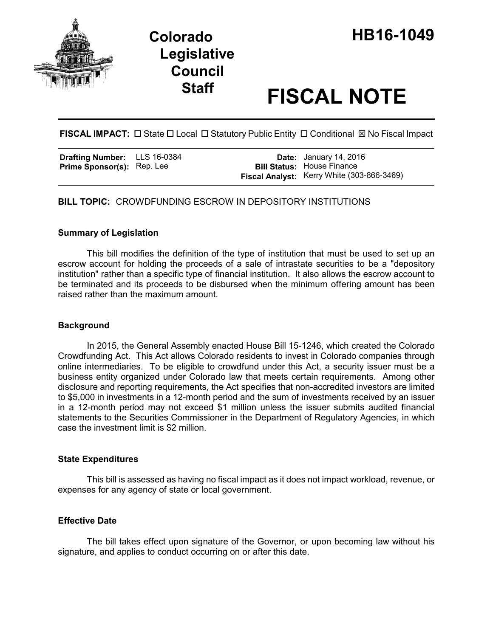

# **Staff FISCAL NOTE**

**FISCAL IMPACT:** □ State □ Local □ Statutory Public Entity □ Conditional ⊠ No Fiscal Impact

| <b>Drafting Number:</b>    | LLS 16-0384 |
|----------------------------|-------------|
| Prime Sponsor(s): Rep. Lee |             |

**Date:** January 14, 2016 **Bill Status:** House Finance **Fiscal Analyst:** Kerry White (303-866-3469)

**BILL TOPIC:** CROWDFUNDING ESCROW IN DEPOSITORY INSTITUTIONS

### **Summary of Legislation**

This bill modifies the definition of the type of institution that must be used to set up an escrow account for holding the proceeds of a sale of intrastate securities to be a "depository institution" rather than a specific type of financial institution. It also allows the escrow account to be terminated and its proceeds to be disbursed when the minimum offering amount has been raised rather than the maximum amount.

### **Background**

In 2015, the General Assembly enacted House Bill 15-1246, which created the Colorado Crowdfunding Act. This Act allows Colorado residents to invest in Colorado companies through online intermediaries. To be eligible to crowdfund under this Act, a security issuer must be a business entity organized under Colorado law that meets certain requirements. Among other disclosure and reporting requirements, the Act specifies that non-accredited investors are limited to \$5,000 in investments in a 12-month period and the sum of investments received by an issuer in a 12-month period may not exceed \$1 million unless the issuer submits audited financial statements to the Securities Commissioner in the Department of Regulatory Agencies, in which case the investment limit is \$2 million.

### **State Expenditures**

This bill is assessed as having no fiscal impact as it does not impact workload, revenue, or expenses for any agency of state or local government.

### **Effective Date**

The bill takes effect upon signature of the Governor, or upon becoming law without his signature, and applies to conduct occurring on or after this date.